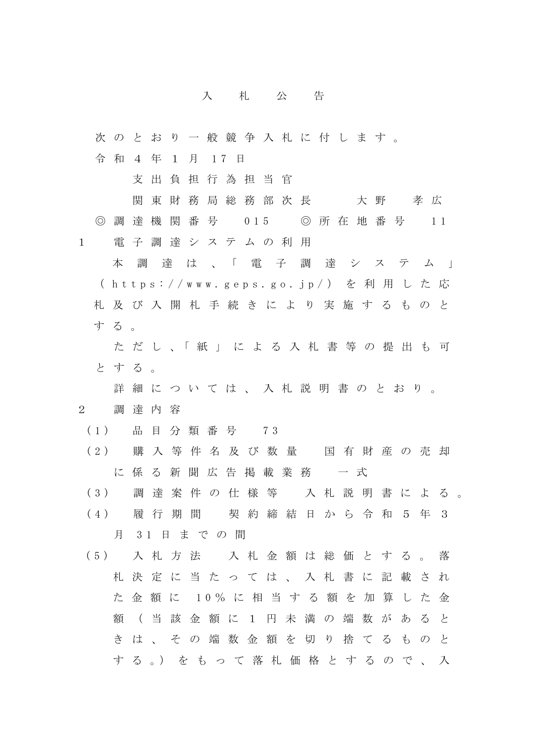## 入 札 公 告

次 の と お り 一 般 競 争 入 札 に 付 し ま す 。 令 和 4 年 1 月 17 日 支 出 負 担 行 為 担 当 官 関 東 財 務 局 総 務 部 次 長 十 大 野 す 孝 広 ◎ 調 達 機 関 番 号 015 ◎ 所 在 地 番 号 11 1 電 子 調 達 シ ス テ ム の 利 用 本調達は 、 「 電 子 調 達 シ ス テ ム 」 ( h t t p s : / / w w w . g e p s . g o . j p / ) を 利 用 し た 応 札及び 入 開 札 手 続 き に よ り 実 施 す る も の と す る 。 た だ し 、「 紙 」 に よ る 入 札 書 等 の 提 出 も 可 と す る 。 詳 細 に つ い て は 、 入 札 説 明 書 の と お り 。 2 調 達 内 容 ( 1 ) 品 目 分 類 番 号 7 3 ( 2 ) 購入等 件 名 及 び 数 量 国 有 財 産 の 売 却 に 係 る 新 聞 広 告 掲 載 業 務 ー 式 ( 3 ) 調 達 案 件 の 仕 様 等 入 札 説 明 書 に よ る 。 ( 4 ) 履 行 期 間 契 約 締 結 日 か ら 令 和 5 年 3 月 3 1 日 ま で の 間 ( 5 ) 入 札 方 法 入札金額は総価とする。 落 札決定に 当 た っ て は 、 入 札 書 に 記 載 さ れ た 金 額 に 1 0 % に 相 当 す る 額 を 加 算 し た 金 額 ( 当 該 金 額 に 1 円 未 満 の 端 数 が あ る と き は 、 そ の 端 数 金 額 を 切 り 捨 て る も の と す る 。) を も っ て 落 札 価 格 と す る の で 、 入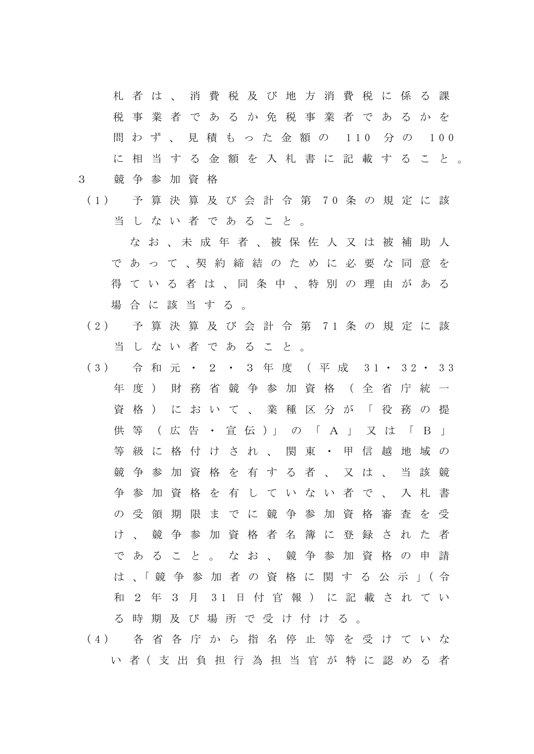札者は 、 消 費 税 及 び 地 方 消 費 税 に 係 る 課 税 事 業 者 で あるか免税 事 業 者 で あ る か を 問 わ ず 、 見 積 も っ た 金 額 の 110 分 の 100 に 相 当する金額を入札書に記載すること。 3 競 争 参 加 資 格

( 1 ) 予 算 決 算 及 び 会 計 令 第 7 0 条 の 規 定 に 該 当 し な い 者 で あ る こ と 。

なお、未成年者、被保佐人又は被補助人 で あ っ て 、契 約 締 結 の た め に 必 要 な 同 意 を 得 て い る 者 は 、 同 条 中 、 特 別 の 理 由 が あ る 場合に該当する。

- ( 2 ) 予 算 決 算 及 び 会 計 令 第 7 1 条 の 規 定 に 該 当 し な い 者 で あ る こ と 。
- ( 3 ) 令 和 元 ・ 2 ・ 3 年 度 ( 平 成 3 1 ・ 3 2 ・ 3 3 年 度 ) 財 務 省 競 争 参 加 資 格 ( 全 省 庁 統 一 資格)において、業種区分が「役務の提 供 等 (広 告 · 宣 伝 )」 の 「 A 」 又 は 「 B 」 等級に格付けされ、関東・甲信越地域の 競争参加資格を有する者、又は、当該競 争 参 加 資 格 を 有 し て い な い 者 で 、 入 札 書 の 受 領 期 限 ま で に 競 争 参 加 資 格 審 査 を 受 け 、 競 争 参 加 資 格 者 名 簿 に 登 録 さ れ た 者 で あ る こ と 。 な お 、 競 争 参 加 資 格 の 申 請 は 、「 競 争 参 加 者 の 資 格 に 関 す る 公 示 」( 令 和 2 年 3 月 31 日 付 官 報 ) に 記 載 さ れ て い る 時 期 及 び 場 所 で 受 け 付 け る 。
- ( 4 ) 各 省 各 庁 か ら 指 名 停 止 等 を 受 け て い な い 者( 支 出 負 担 行 為 担 当 官 が 特 に 認 め る 者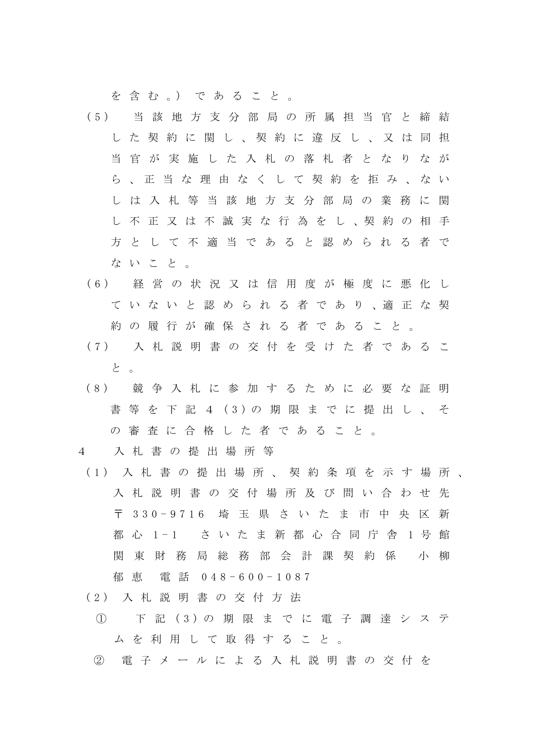を 含 む 。) で あ る こ と 。

- ( 5 ) 当 該 地 方 支 分 部 局 の 所 属 担 当 官 と 締 結 し た 契 約 に 関 し 、 契 約 に 違 反 し 、 又 は 同 担 当 官 が 実 施 し た 入 札 の 落 札 者 と な り な が ら 、 正 当 な 理 由 な く し て 契 約 を 拒 み 、 な い し は 入 札 等 当 該 地 方 支 分 部 局 の 業 務 に 関 し 不 正 又 は 不 誠 実 な 行 為 を し 、契 約 の 相 手 方 と し て 不 適 当 で あ る と 認 め ら れ る 者 で な い こ と 。
- ( 6 ) 経 営 の 状 況 又 は 信 用 度 が 極 度 に 悪 化 し て い な い と 認 め ら れ る 者 で あ り 、適 正 な 契 約 の 履 行 が 確 保 さ れ る 者 で あ る こ と 。
- ( 7 ) 入 札 説 明 書 の 交 付 を 受 け た 者 で あ る こ と 。
- (8) 競 争 入 札 に 参 加 す る た め に 必 要 な 証 明 書 等 を 下 記 4 ( 3 ) の 期 限 ま で に 提 出 し 、 そ の 審 査 に 合 格 し た 者 で あ る こ と 。
- 4 入 札 書 の 提 出 場 所 等
- ( 1 ) 入 札 書 の 提 出 場 所 、 契 約 条 項 を 示 す 場 所 、 入 札 説 明 書 の 交 付 場 所 及 び 問 い 合 わ せ 先 〒 330 - 9 7 1 6 埼 玉 県 さ い た ま 市 中 央 区 新 都 心 1 - 1 さ い た ま 新 都 心 合 同 庁 舎 1 号 館 関 東 財 務 局 総 務 部 会 計 課 契 約 係 の 小 柳 郁 恵 電 話 0 4 8 - 600 - 1 0 8 7
- ( 2 ) 入 札 説 明 書 の 交 付 方 法
	- ① 下 記 ( 3 ) の 期 限 ま で に 電 子 調 達 シ ス テ ム を 利 用 し て 取 得 す る こ と 。
	- ② 電 子 メ ー ル に よ る 入 札 説 明 書 の 交 付 を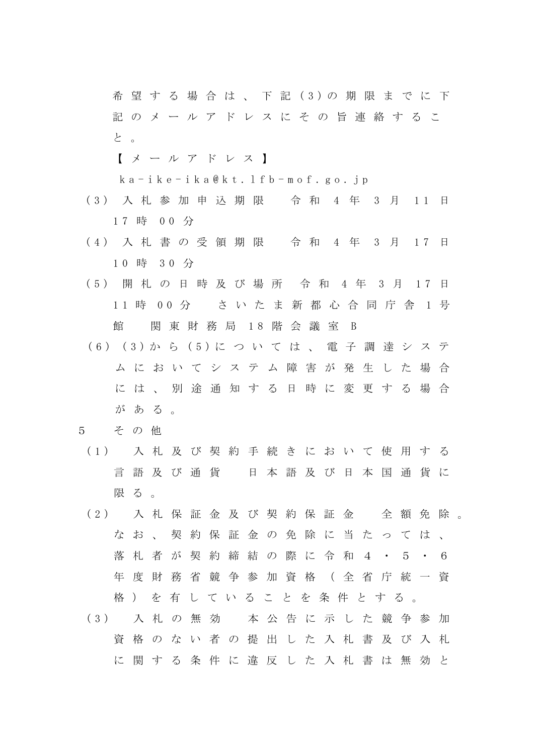希 望 す る 場 合 は 、 下 記 ( 3 ) の 期 限 ま で に 下 記 の メ ー ル ア ド レ ス に そ の 旨 連 絡 す る こ と 。

【 メ ー ル ア ド レ ス 】

k a - ike - i k a @ k t . l f b - m o f . g o . j p

- ( 3 ) 入 札 参 加 申 込 期 限 令 和 4 年 3 月 1 1 日 1 7 時 0 0 分
- (4) 入札書の受領期限 令和 4年 3月 17日 1 0 時 3 0 分
- ( 5 ) 開 札 の 日 時 及 び 場 所 令 和 4 年 3 月 1 7 日 11 時 00 分 さいたま新都心合同庁舎 1 号 館 関 東 財 務 局 18 階 会 議 室 B
- ( 6 ) ( 3 ) か ら ( 5 ) に つ い て は 、 電 子 調 達 シ ス テ ムにおいて システム 障 害 が 発 生 し た 場 合 に は 、 別 途 通 知 す る 日 時 に 変 更 す る 場 合 が あ る 。
- 5 そ の 他
- ( 1 ) 入 札 及 び 契 約 手 続 き に お い て 使 用 す る 言語及び通貨 日本語及び日本国通貨に 限 る 。
- (2) 入札保証金及び契約保証金 全額免除。 な お 、 契 約 保 証 金 の 免 除 に 当 た っ て は 、 落 札 者 が 契 約 締 結 の 際 に 令 和 4 ・ 5 ・ 6 年 度 財 務 省 競 争 参 加 資 格 ( 全 省 庁 統 一 資 格 ) を 有 し て い る こ と を 条 件 と す る 。
- ( 3 ) 入 札 の 無 効 本 公 告 に 示 し た 競 争 参 加 資 格 の な い 者 の 提 出 し た 入 札 書 及 び 入 札 に 関 す る 条 件 に 違 反 し た 入 札 書 は 無 効 と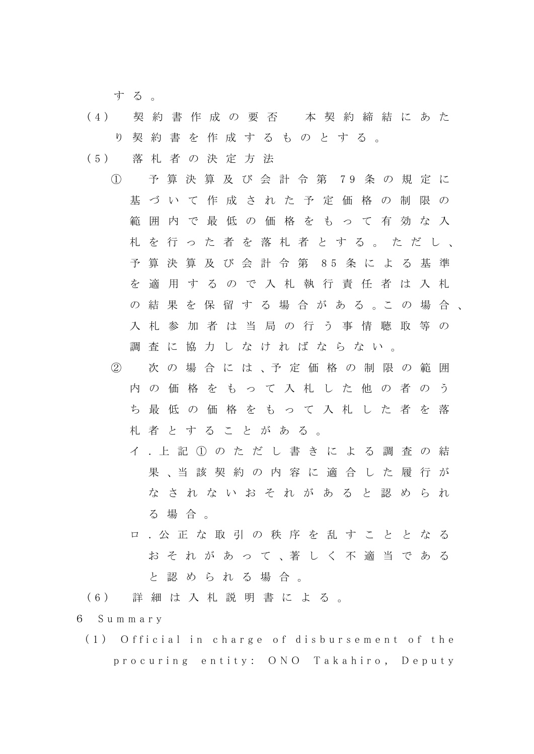す る 。

- ( 4 ) 契 約 書 作 成 の 要 否 本 契 約 締 結 に あ た り 契 約 書 を 作 成 す る も の と す る 。
- ( 5 ) 落 札 者 の 決 定 方 法
	- ① 予 算 決 算 及 び 会 計 令 第 7 9 条 の 規 定 に 基 づ い て 作 成 さ れ た 予 定 価 格 の 制 限 の 範囲内 で 最 低 の 価 格 を も っ て 有 効 な 入 札 を 行 っ た 者 を 落 札 者 と す る 。 た だ し 、 予 算 決 算 及 び 会 計 令 第 8 5 条 に よ る 基 準 を 適 用 す る の で 入 札 執 行 責 任 者 は 入 札 の 結 果 を 保 留 す る 場 合 が あ る 。こ の 場 合 入 札 参 加 者 は 当 局 の 行 う 事 情 聴 取 等 の 調 査 に 協 力 し な け れ ば な ら な い 。
		- ② 次 の 場 合 に は 、予 定 価 格 の 制 限 の 範 囲 内 の 価 格 を も っ て 入 札 し た 他 の 者 の う ち 最 低 の 価 格 を も っ て 入 札 し た 者 を 落 札 者 と す る こ と が あ る 。
			- イ .上 記 ① の た だ し 書 き に よ る 調 査 の 結 果 、当 該 契 約 の 内 容 に 適 合 し た 履 行 が な さ れ な い お そ れ が あ る と 認 め ら れ る 場 合 。
			- ロ .公 正 な 取 引 の 秩 序 を 乱 す こ と と な る お そ れ が あ っ て 、著 し く 不 適 当 で あ る と 認 め ら れ る 場 合 。
- ( 6 ) 詳 細 は 入 札 説 明 書 に よ る 。
- 6 S u m m a r y
	- (1) Official in charge of disbursement of the procuring entity: ONO Takahiro, Deputy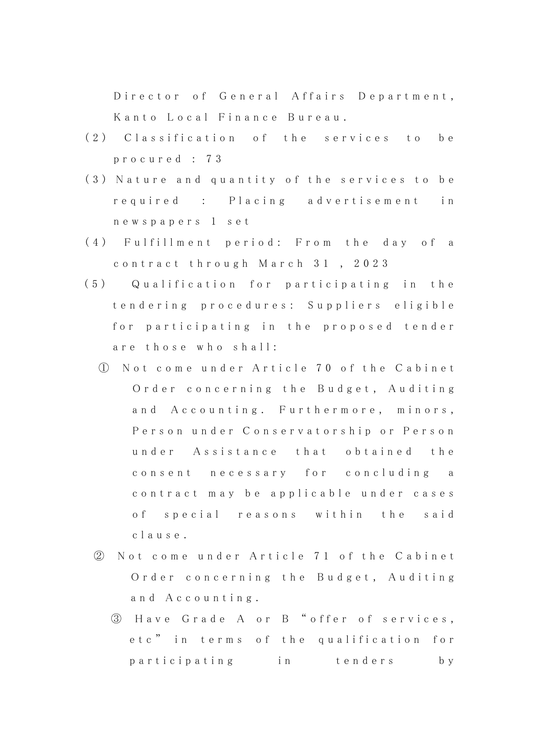Director of General Affairs Department, Kanto Local Finance Bureau.

- (2) Classification of the services to be p r o c u r e d : 7 3
- (3) Nature and quantity of the services to be required : Placing advertisement in n e w s p a p e r s 1 s e t
- (4) Fulfillment period: From the day of a c o n t r a c t t h r o u g h M a r c h 31 , 2 0 2 3
- (5) Qualification for participating in the t e n d e r i n g p r o c e d u r e s : S u p p l i e r s e l i g i b l e for participating in the proposed tender are those who shall:
	- ① N o t c o m e u n d e r A r t i c l e 7 0 o f t h e C a b i n e t Order concerning the Budget, Auditing and Accounting. Furthermore, minors, Person under Conservatorship or Person under Assistance that obtained the consent necessary for concluding a contract may be applicable under cases of special reasons within the said c l a u s e .
	- ② N ot come under Article 71 of the Cabinet Order concerning the Budget, Auditing a n d A c c o u n t i n g .
		- 3 Have Grade A or B " offer of services, etc" in terms of the qualification for p a r t i c i p a t i n g i n t e n d e r s b y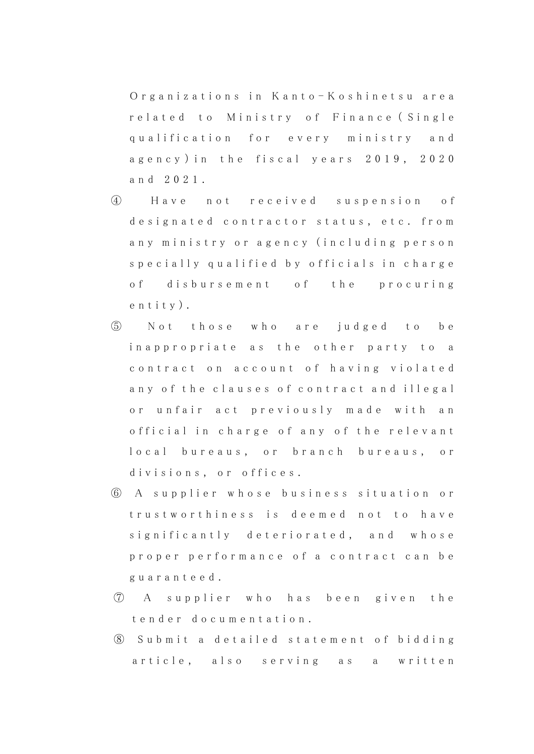Organizations in Kanto-Koshinetsu area related to Ministry of Finance (Single qualification for every ministry and agency) in the fiscal years 2019, 2020 a n d 2 0 2 1 .

- ④ H a v e n o t r e c e i v e d s u s p e n s i o n o f designated contractor status, etc. from any ministry or agency (including person specially qualified by officials in charge of disbursement of the procuring e n t i t y ) .
- ⑤ N o t t h o s e w h o a r e j u d g e d t o b e in a p p r o p r i a t e a s t h e o t h e r p a r t y t o a contract on account of having violated any of the clauses of contract and illegal or unfair act previously made with an official in charge of any of the relevant local bureaus, or branch bureaus, or divisions, or offices.
- ⑥ A s u p p l i e r w h o s e b u s i n e s s s i t u a t i o n o r trustworthiness is deemed not to have significantly deteriorated, and whose proper performance of a contract can be g u a r a n t e e d .
- ⑦ A s u p p l i e r w h o h a s b e e n g i v e n t h e t e n d e r d o c u m e n t a t i o n .
- ⑧ S u b m i t a d e t a i l e d s t a t e m e n t o f b i d d i n g article, also serving as a written